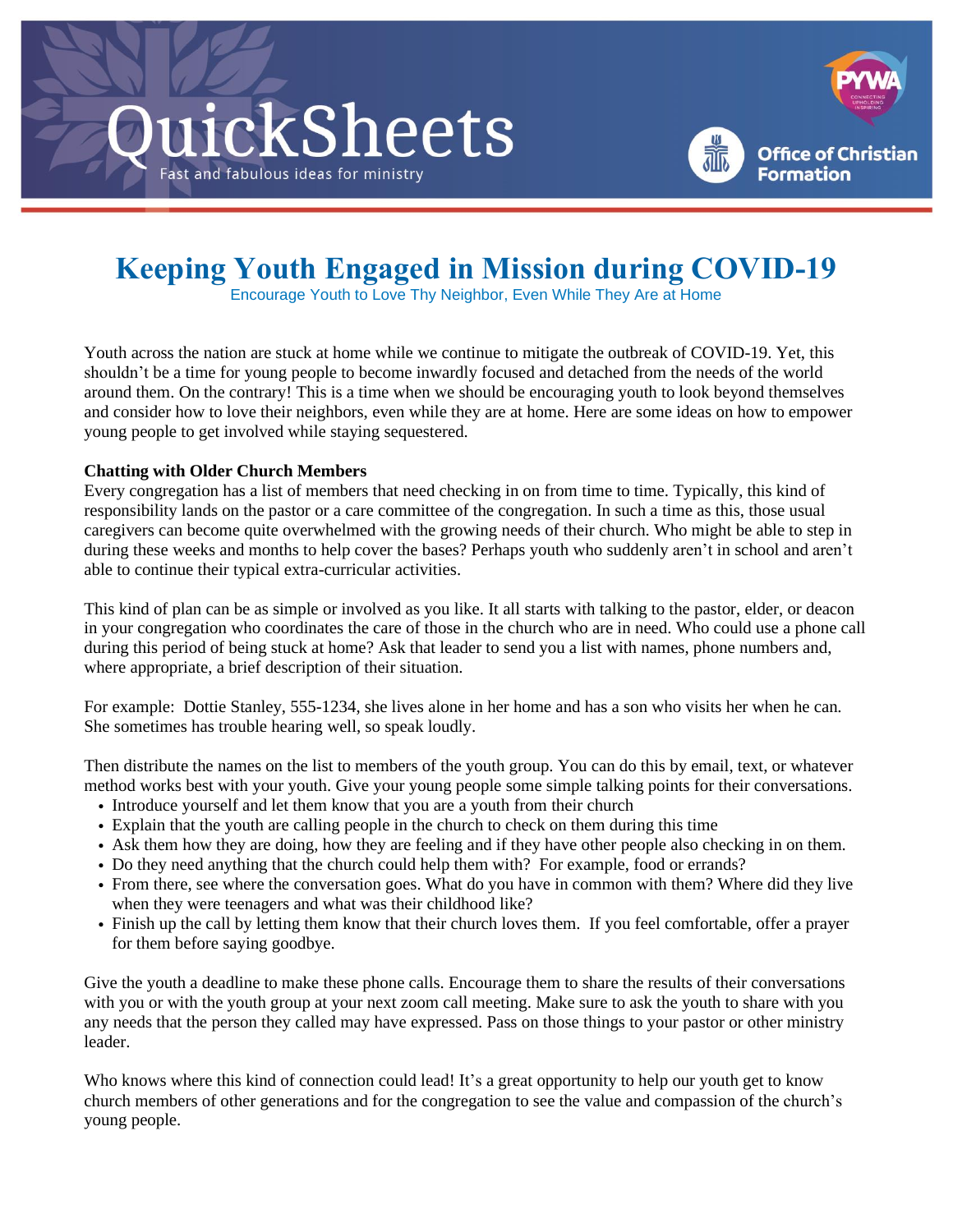



# **Keeping Youth Engaged in Mission during COVID-19**

Encourage Youth to Love Thy Neighbor, Even While They Are at Home

Youth across the nation are stuck at home while we continue to mitigate the outbreak of COVID-19. Yet, this shouldn't be a time for young people to become inwardly focused and detached from the needs of the world around them. On the contrary! This is a time when we should be encouraging youth to look beyond themselves and consider how to love their neighbors, even while they are at home. Here are some ideas on how to empower young people to get involved while staying sequestered.

## **Chatting with Older Church Members**

Every congregation has a list of members that need checking in on from time to time. Typically, this kind of responsibility lands on the pastor or a care committee of the congregation. In such a time as this, those usual caregivers can become quite overwhelmed with the growing needs of their church. Who might be able to step in during these weeks and months to help cover the bases? Perhaps youth who suddenly aren't in school and aren't able to continue their typical extra-curricular activities.

This kind of plan can be as simple or involved as you like. It all starts with talking to the pastor, elder, or deacon in your congregation who coordinates the care of those in the church who are in need. Who could use a phone call during this period of being stuck at home? Ask that leader to send you a list with names, phone numbers and, where appropriate, a brief description of their situation.

For example: Dottie Stanley, 555-1234, she lives alone in her home and has a son who visits her when he can. She sometimes has trouble hearing well, so speak loudly.

Then distribute the names on the list to members of the youth group. You can do this by email, text, or whatever method works best with your youth. Give your young people some simple talking points for their conversations.

- Introduce yourself and let them know that you are a youth from their church
- Explain that the youth are calling people in the church to check on them during this time
- Ask them how they are doing, how they are feeling and if they have other people also checking in on them.
- Do they need anything that the church could help them with? For example, food or errands?
- From there, see where the conversation goes. What do you have in common with them? Where did they live when they were teenagers and what was their childhood like?
- Finish up the call by letting them know that their church loves them. If you feel comfortable, offer a prayer for them before saying goodbye.

Give the youth a deadline to make these phone calls. Encourage them to share the results of their conversations with you or with the youth group at your next zoom call meeting. Make sure to ask the youth to share with you any needs that the person they called may have expressed. Pass on those things to your pastor or other ministry leader.

Who knows where this kind of connection could lead! It's a great opportunity to help our youth get to know church members of other generations and for the congregation to see the value and compassion of the church's young people.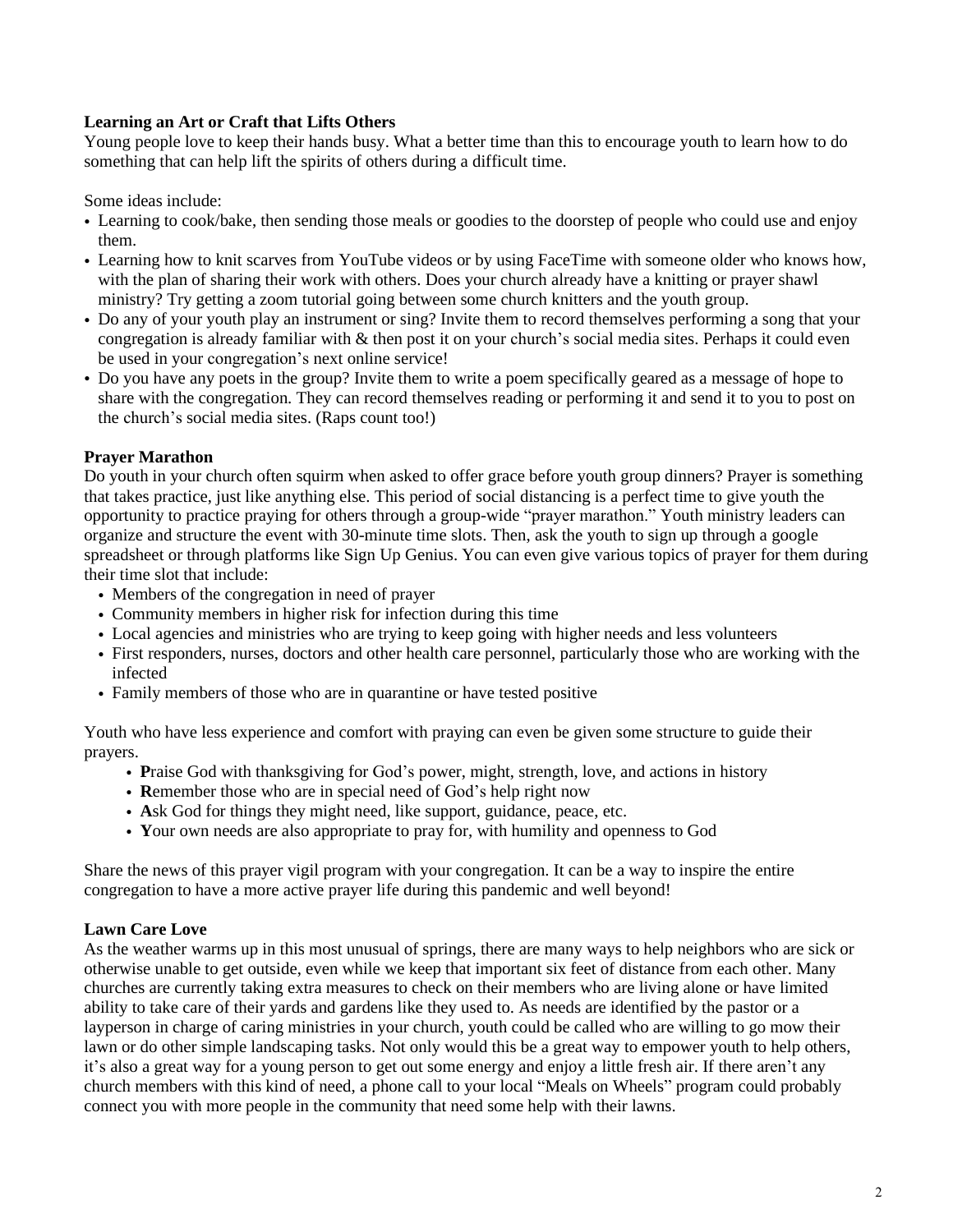## **Learning an Art or Craft that Lifts Others**

Young people love to keep their hands busy. What a better time than this to encourage youth to learn how to do something that can help lift the spirits of others during a difficult time.

Some ideas include:

- Learning to cook/bake, then sending those meals or goodies to the doorstep of people who could use and enjoy them.
- Learning how to knit scarves from YouTube videos or by using FaceTime with someone older who knows how, with the plan of sharing their work with others. Does your church already have a knitting or prayer shawl ministry? Try getting a zoom tutorial going between some church knitters and the youth group.
- Do any of your youth play an instrument or sing? Invite them to record themselves performing a song that your congregation is already familiar with  $\&$  then post it on your church's social media sites. Perhaps it could even be used in your congregation's next online service!
- Do you have any poets in the group? Invite them to write a poem specifically geared as a message of hope to share with the congregation. They can record themselves reading or performing it and send it to you to post on the church's social media sites. (Raps count too!)

## **Prayer Marathon**

Do youth in your church often squirm when asked to offer grace before youth group dinners? Prayer is something that takes practice, just like anything else. This period of social distancing is a perfect time to give youth the opportunity to practice praying for others through a group-wide "prayer marathon." Youth ministry leaders can organize and structure the event with 30-minute time slots. Then, ask the youth to sign up through a google spreadsheet or through platforms like Sign Up Genius. You can even give various topics of prayer for them during their time slot that include:

- Members of the congregation in need of prayer
- Community members in higher risk for infection during this time
- Local agencies and ministries who are trying to keep going with higher needs and less volunteers
- First responders, nurses, doctors and other health care personnel, particularly those who are working with the infected
- Family members of those who are in quarantine or have tested positive

Youth who have less experience and comfort with praying can even be given some structure to guide their prayers.

- **P**raise God with thanksgiving for God's power, might, strength, love, and actions in history
- **R**emember those who are in special need of God's help right now
- **A**sk God for things they might need, like support, guidance, peace, etc.
- **Y**our own needs are also appropriate to pray for, with humility and openness to God

Share the news of this prayer vigil program with your congregation. It can be a way to inspire the entire congregation to have a more active prayer life during this pandemic and well beyond!

#### **Lawn Care Love**

As the weather warms up in this most unusual of springs, there are many ways to help neighbors who are sick or otherwise unable to get outside, even while we keep that important six feet of distance from each other. Many churches are currently taking extra measures to check on their members who are living alone or have limited ability to take care of their yards and gardens like they used to. As needs are identified by the pastor or a layperson in charge of caring ministries in your church, youth could be called who are willing to go mow their lawn or do other simple landscaping tasks. Not only would this be a great way to empower youth to help others, it's also a great way for a young person to get out some energy and enjoy a little fresh air. If there aren't any church members with this kind of need, a phone call to your local "Meals on Wheels" program could probably connect you with more people in the community that need some help with their lawns.